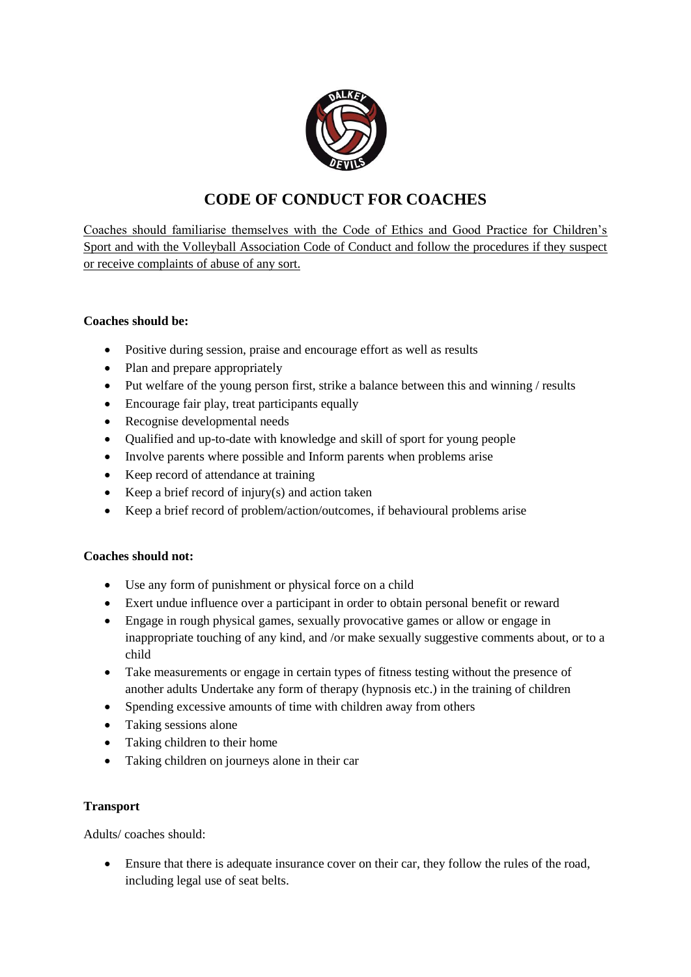

# **CODE OF CONDUCT FOR COACHES**

Coaches should familiarise themselves with the Code of Ethics and Good Practice for Children's Sport and with the Volleyball Association Code of Conduct and follow the procedures if they suspect or receive complaints of abuse of any sort.

## **Coaches should be:**

- Positive during session, praise and encourage effort as well as results
- Plan and prepare appropriately
- Put welfare of the young person first, strike a balance between this and winning / results
- Encourage fair play, treat participants equally
- Recognise developmental needs
- Qualified and up-to-date with knowledge and skill of sport for young people
- Involve parents where possible and Inform parents when problems arise
- Keep record of attendance at training
- Example 2 Keep a brief record of injury(s) and action taken
- Keep a brief record of problem/action/outcomes, if behavioural problems arise

# **Coaches should not:**

- Use any form of punishment or physical force on a child
- Exert undue influence over a participant in order to obtain personal benefit or reward
- Engage in rough physical games, sexually provocative games or allow or engage in inappropriate touching of any kind, and /or make sexually suggestive comments about, or to a child
- Take measurements or engage in certain types of fitness testing without the presence of another adults Undertake any form of therapy (hypnosis etc.) in the training of children
- Spending excessive amounts of time with children away from others
- Taking sessions alone
- Taking children to their home
- Taking children on journeys alone in their car

#### **Transport**

Adults/ coaches should:

 Ensure that there is adequate insurance cover on their car, they follow the rules of the road, including legal use of seat belts.